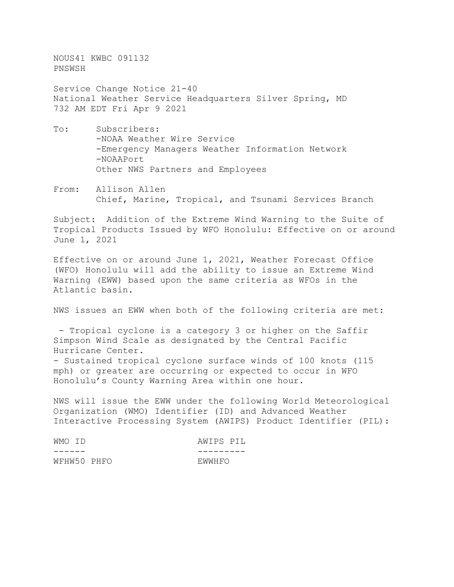NOUS41 KWBC 091132 PNSWSH

Service Change Notice 21-40 National Weather Service Headquarters Silver Spring, MD 732 AM EDT Fri Apr 9 2021

- To: Subscribers: -NOAA Weather Wire Service -Emergency Managers Weather Information Network -NOAAPort Other NWS Partners and Employees
- From: Allison Allen Chief, Marine, Tropical, and Tsunami Services Branch

Subject: Addition of the Extreme Wind Warning to the Suite of Tropical Products Issued by WFO Honolulu: Effective on or around June 1, 2021

Effective on or around June 1, 2021, Weather Forecast Office (WFO) Honolulu will add the ability to issue an Extreme Wind Warning (EWW) based upon the same criteria as WFOs in the Atlantic basin.

NWS issues an EWW when both of the following criteria are met:

- Tropical cyclone is a category 3 or higher on the Saffir Simpson Wind Scale as designated by the Central Pacific Hurricane Center.

- Sustained tropical cyclone surface winds of 100 knots (115 mph) or greater are occurring or expected to occur in WFO Honolulu's County Warning Area within one hour.

NWS will issue the EWW under the following World Meteorological Organization (WMO) Identifier (ID) and Advanced Weather Interactive Processing System (AWIPS) Product Identifier (PIL):

| WMO ID      | AWIPS PIL |  |
|-------------|-----------|--|
|             |           |  |
| WFHW50 PHFO | EWWHFO    |  |